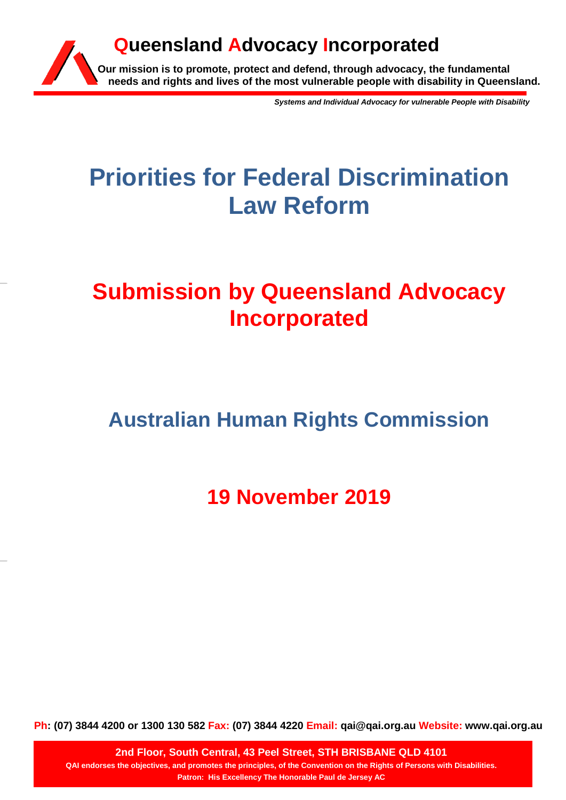

*Systems and Individual Advocacy for vulnerable People with Disability*

# **Priorities for Federal Discrimination Law Reform**

# **Submission by Queensland Advocacy Incorporated**

# **Australian Human Rights Commission**

**19 November 2019**

**Ph: (07) 3844 4200 or 1300 130 582 Fax: (07) 3844 4220 Email: qai@qai.org.au Website: www.qai.org.au**

**2nd Floor, South Central, 43 Peel Street, STH BRISBANE QLD 4101 QAI endorses the objectives, and promotes the principles, of the Convention on the Rights of Persons with Disabilities. Patron: His Excellency The Honorable Paul de Jersey AC**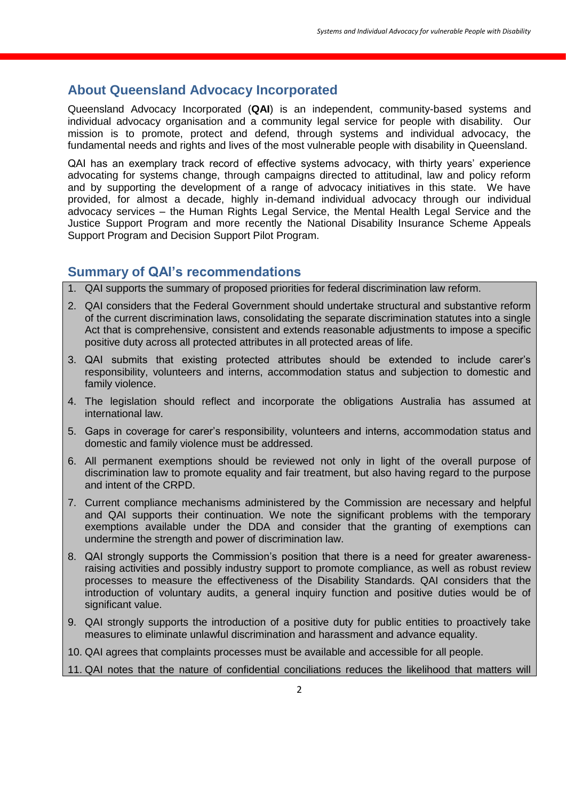# **About Queensland Advocacy Incorporated**

Queensland Advocacy Incorporated (**QAI**) is an independent, community-based systems and individual advocacy organisation and a community legal service for people with disability. Our mission is to promote, protect and defend, through systems and individual advocacy, the fundamental needs and rights and lives of the most vulnerable people with disability in Queensland.

QAI has an exemplary track record of effective systems advocacy, with thirty years' experience advocating for systems change, through campaigns directed to attitudinal, law and policy reform and by supporting the development of a range of advocacy initiatives in this state. We have provided, for almost a decade, highly in-demand individual advocacy through our individual advocacy services – the Human Rights Legal Service, the Mental Health Legal Service and the Justice Support Program and more recently the National Disability Insurance Scheme Appeals Support Program and Decision Support Pilot Program.

# **Summary of QAI's recommendations**

- 1. QAI supports the summary of proposed priorities for federal discrimination law reform.
- 2. QAI considers that the Federal Government should undertake structural and substantive reform of the current discrimination laws, consolidating the separate discrimination statutes into a single Act that is comprehensive, consistent and extends reasonable adjustments to impose a specific positive duty across all protected attributes in all protected areas of life.
- 3. QAI submits that existing protected attributes should be extended to include carer's responsibility, volunteers and interns, accommodation status and subjection to domestic and family violence.
- 4. The legislation should reflect and incorporate the obligations Australia has assumed at international law.
- 5. Gaps in coverage for carer's responsibility, volunteers and interns, accommodation status and domestic and family violence must be addressed.
- 6. All permanent exemptions should be reviewed not only in light of the overall purpose of discrimination law to promote equality and fair treatment, but also having regard to the purpose and intent of the CRPD.
- 7. Current compliance mechanisms administered by the Commission are necessary and helpful and QAI supports their continuation. We note the significant problems with the temporary exemptions available under the DDA and consider that the granting of exemptions can undermine the strength and power of discrimination law.
- 8. QAI strongly supports the Commission's position that there is a need for greater awarenessraising activities and possibly industry support to promote compliance, as well as robust review processes to measure the effectiveness of the Disability Standards. QAI considers that the introduction of voluntary audits, a general inquiry function and positive duties would be of significant value.
- 9. QAI strongly supports the introduction of a positive duty for public entities to proactively take measures to eliminate unlawful discrimination and harassment and advance equality.
- 10. QAI agrees that complaints processes must be available and accessible for all people.
- 11. QAI notes that the nature of confidential conciliations reduces the likelihood that matters will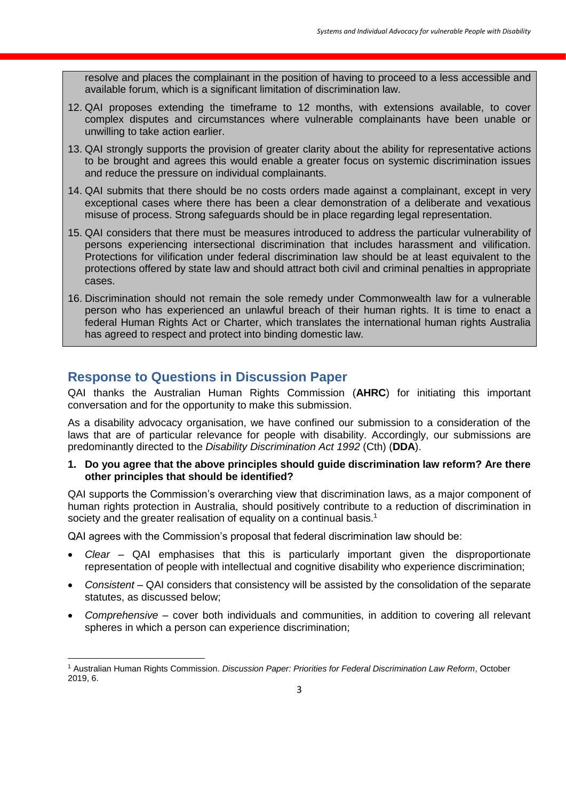resolve and places the complainant in the position of having to proceed to a less accessible and available forum, which is a significant limitation of discrimination law.

- 12. QAI proposes extending the timeframe to 12 months, with extensions available, to cover complex disputes and circumstances where vulnerable complainants have been unable or unwilling to take action earlier.
- 13. QAI strongly supports the provision of greater clarity about the ability for representative actions to be brought and agrees this would enable a greater focus on systemic discrimination issues and reduce the pressure on individual complainants.
- 14. QAI submits that there should be no costs orders made against a complainant, except in very exceptional cases where there has been a clear demonstration of a deliberate and vexatious misuse of process. Strong safeguards should be in place regarding legal representation.
- 15. QAI considers that there must be measures introduced to address the particular vulnerability of persons experiencing intersectional discrimination that includes harassment and vilification. Protections for vilification under federal discrimination law should be at least equivalent to the protections offered by state law and should attract both civil and criminal penalties in appropriate cases.
- 16. Discrimination should not remain the sole remedy under Commonwealth law for a vulnerable person who has experienced an unlawful breach of their human rights. It is time to enact a federal Human Rights Act or Charter, which translates the international human rights Australia has agreed to respect and protect into binding domestic law.

# **Response to Questions in Discussion Paper**

**.** 

QAI thanks the Australian Human Rights Commission (**AHRC**) for initiating this important conversation and for the opportunity to make this submission.

As a disability advocacy organisation, we have confined our submission to a consideration of the laws that are of particular relevance for people with disability. Accordingly, our submissions are predominantly directed to the *Disability Discrimination Act 1992* (Cth) (**DDA**).

#### **1. Do you agree that the above principles should guide discrimination law reform? Are there other principles that should be identified?**

QAI supports the Commission's overarching view that discrimination laws, as a major component of human rights protection in Australia, should positively contribute to a reduction of discrimination in society and the greater realisation of equality on a continual basis.<sup>1</sup>

QAI agrees with the Commission's proposal that federal discrimination law should be:

- *Clear* QAI emphasises that this is particularly important given the disproportionate representation of people with intellectual and cognitive disability who experience discrimination;
- *Consistent* QAI considers that consistency will be assisted by the consolidation of the separate statutes, as discussed below;
- *Comprehensive* cover both individuals and communities, in addition to covering all relevant spheres in which a person can experience discrimination;

<sup>1</sup> Australian Human Rights Commission. *Discussion Paper: Priorities for Federal Discrimination Law Reform*, October 2019, 6.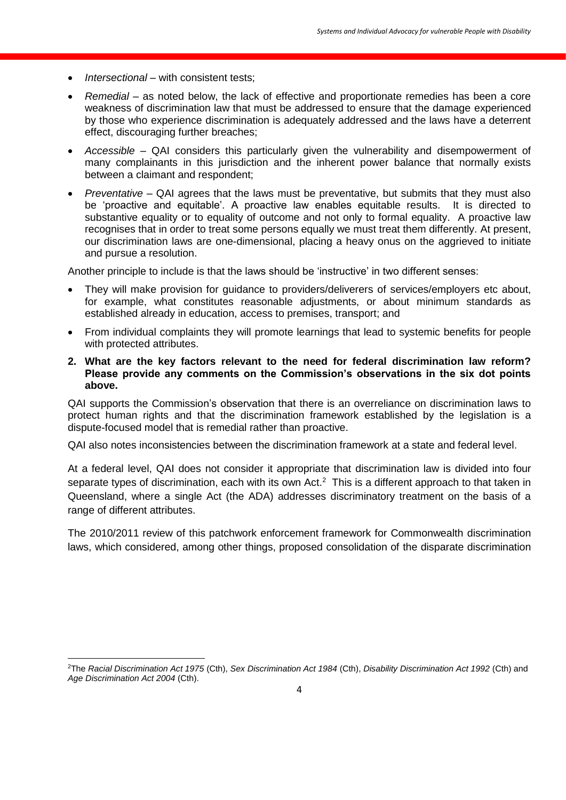*Intersectional* – with consistent tests;

**.** 

- *Remedial* as noted below, the lack of effective and proportionate remedies has been a core weakness of discrimination law that must be addressed to ensure that the damage experienced by those who experience discrimination is adequately addressed and the laws have a deterrent effect, discouraging further breaches;
- *Accessible*  QAI considers this particularly given the vulnerability and disempowerment of many complainants in this jurisdiction and the inherent power balance that normally exists between a claimant and respondent;
- *Preventative*  QAI agrees that the laws must be preventative, but submits that they must also be 'proactive and equitable'. A proactive law enables equitable results. It is directed to substantive equality or to equality of outcome and not only to formal equality. A proactive law recognises that in order to treat some persons equally we must treat them differently. At present, our discrimination laws are one-dimensional, placing a heavy onus on the aggrieved to initiate and pursue a resolution.

Another principle to include is that the laws should be 'instructive' in two different senses:

- They will make provision for guidance to providers/deliverers of services/employers etc about, for example, what constitutes reasonable adjustments, or about minimum standards as established already in education, access to premises, transport; and
- From individual complaints they will promote learnings that lead to systemic benefits for people with protected attributes.
- **2. What are the key factors relevant to the need for federal discrimination law reform? Please provide any comments on the Commission's observations in the six dot points above.**

QAI supports the Commission's observation that there is an overreliance on discrimination laws to protect human rights and that the discrimination framework established by the legislation is a dispute-focused model that is remedial rather than proactive.

QAI also notes inconsistencies between the discrimination framework at a state and federal level.

At a federal level, QAI does not consider it appropriate that discrimination law is divided into four separate types of discrimination, each with its own Act.<sup>2</sup> This is a different approach to that taken in Queensland, where a single Act (the ADA) addresses discriminatory treatment on the basis of a range of different attributes.

The 2010/2011 review of this patchwork enforcement framework for Commonwealth discrimination laws, which considered, among other things, proposed consolidation of the disparate discrimination

<sup>2</sup>The *Racial Discrimination Act 1975* (Cth), *Sex Discrimination Act 1984* (Cth), *Disability Discrimination Act 1992* (Cth) and *Age Discrimination Act 2004* (Cth).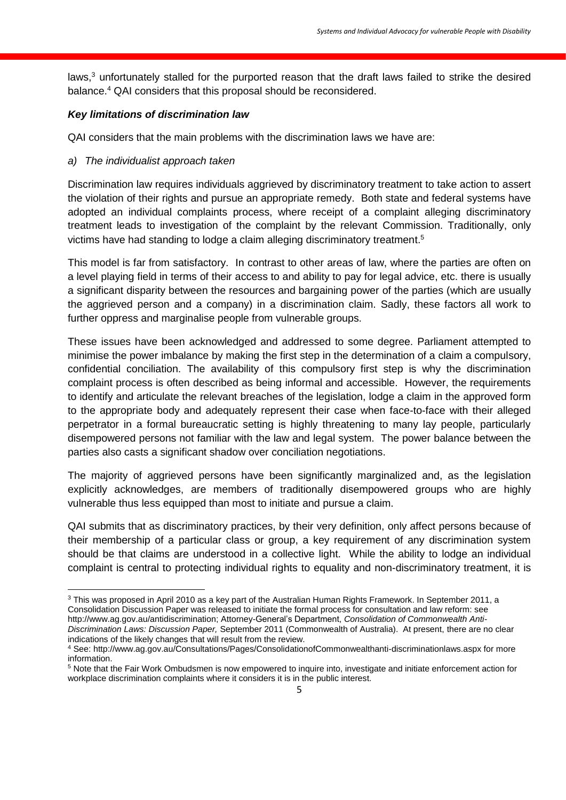laws,<sup>3</sup> unfortunately stalled for the purported reason that the draft laws failed to strike the desired balance.<sup>4</sup> QAI considers that this proposal should be reconsidered.

# *Key limitations of discrimination law*

QAI considers that the main problems with the discrimination laws we have are:

# *a) The individualist approach taken*

Discrimination law requires individuals aggrieved by discriminatory treatment to take action to assert the violation of their rights and pursue an appropriate remedy. Both state and federal systems have adopted an individual complaints process, where receipt of a complaint alleging discriminatory treatment leads to investigation of the complaint by the relevant Commission. Traditionally, only victims have had standing to lodge a claim alleging discriminatory treatment.<sup>5</sup>

This model is far from satisfactory. In contrast to other areas of law, where the parties are often on a level playing field in terms of their access to and ability to pay for legal advice, etc. there is usually a significant disparity between the resources and bargaining power of the parties (which are usually the aggrieved person and a company) in a discrimination claim. Sadly, these factors all work to further oppress and marginalise people from vulnerable groups.

These issues have been acknowledged and addressed to some degree. Parliament attempted to minimise the power imbalance by making the first step in the determination of a claim a compulsory, confidential conciliation. The availability of this compulsory first step is why the discrimination complaint process is often described as being informal and accessible. However, the requirements to identify and articulate the relevant breaches of the legislation, lodge a claim in the approved form to the appropriate body and adequately represent their case when face-to-face with their alleged perpetrator in a formal bureaucratic setting is highly threatening to many lay people, particularly disempowered persons not familiar with the law and legal system. The power balance between the parties also casts a significant shadow over conciliation negotiations.

The majority of aggrieved persons have been significantly marginalized and, as the legislation explicitly acknowledges, are members of traditionally disempowered groups who are highly vulnerable thus less equipped than most to initiate and pursue a claim.

QAI submits that as discriminatory practices, by their very definition, only affect persons because of their membership of a particular class or group, a key requirement of any discrimination system should be that claims are understood in a collective light. While the ability to lodge an individual complaint is central to protecting individual rights to equality and non-discriminatory treatment, it is

 $\overline{a}$ <sup>3</sup> This was proposed in April 2010 as a key part of the Australian Human Rights Framework. In September 2011, a Consolidation Discussion Paper was released to initiate the formal process for consultation and law reform: see [http://www.ag.gov.au/antidiscrimination;](http://www.ag.gov.au/antidiscrimination) Attorney-General's Department, *Consolidation of Commonwealth Anti-Discrimination Laws: Discussion Paper,* September 2011 (Commonwealth of Australia). At present, there are no clear indications of the likely changes that will result from the review.

<sup>4</sup> See:<http://www.ag.gov.au/Consultations/Pages/ConsolidationofCommonwealthanti-discriminationlaws.aspx> for more information.

<sup>5</sup> Note that the Fair Work Ombudsmen is now empowered to inquire into, investigate and initiate enforcement action for workplace discrimination complaints where it considers it is in the public interest.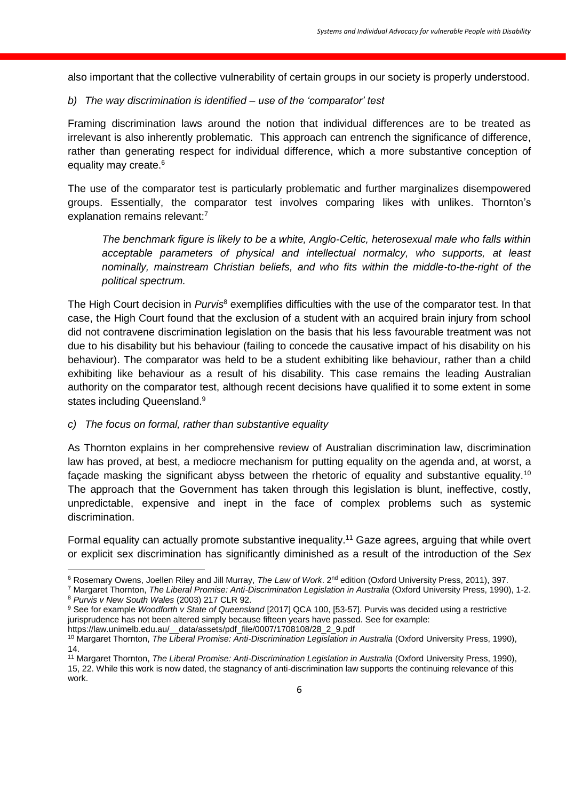also important that the collective vulnerability of certain groups in our society is properly understood.

## *b) The way discrimination is identified – use of the 'comparator' test*

Framing discrimination laws around the notion that individual differences are to be treated as irrelevant is also inherently problematic. This approach can entrench the significance of difference, rather than generating respect for individual difference, which a more substantive conception of equality may create.<sup>6</sup>

The use of the comparator test is particularly problematic and further marginalizes disempowered groups. Essentially, the comparator test involves comparing likes with unlikes. Thornton's explanation remains relevant:<sup>7</sup>

*The benchmark figure is likely to be a white, Anglo-Celtic, heterosexual male who falls within acceptable parameters of physical and intellectual normalcy, who supports, at least nominally, mainstream Christian beliefs, and who fits within the middle-to-the-right of the political spectrum.*

The High Court decision in *Purvis*<sup>8</sup> exemplifies difficulties with the use of the comparator test. In that case, the High Court found that the exclusion of a student with an acquired brain injury from school did not contravene discrimination legislation on the basis that his less favourable treatment was not due to his disability but his behaviour (failing to concede the causative impact of his disability on his behaviour). The comparator was held to be a student exhibiting like behaviour, rather than a child exhibiting like behaviour as a result of his disability. This case remains the leading Australian authority on the comparator test, although recent decisions have qualified it to some extent in some states including Queensland.<sup>9</sup>

#### *c) The focus on formal, rather than substantive equality*

As Thornton explains in her comprehensive review of Australian discrimination law, discrimination law has proved, at best, a mediocre mechanism for putting equality on the agenda and, at worst, a façade masking the significant abyss between the rhetoric of equality and substantive equality.<sup>10</sup> The approach that the Government has taken through this legislation is blunt, ineffective, costly, unpredictable, expensive and inept in the face of complex problems such as systemic discrimination.

Formal equality can actually promote substantive inequality.<sup>11</sup> Gaze agrees, arguing that while overt or explicit sex discrimination has significantly diminished as a result of the introduction of the *Sex* 

<sup>7</sup> Margaret Thornton, *The Liberal Promise: Anti-Discrimination Legislation in Australia* (Oxford University Press, 1990), 1-2. <sup>8</sup> *Purvis v New South Wales* (2003) 217 CLR 92.

**<sup>.</sup>** <sup>6</sup> Rosemary Owens, Joellen Riley and Jill Murray, *The Law of Work*. 2nd edition (Oxford University Press, 2011), 397.

<sup>9</sup> See for example *Woodforth v State of Queensland* [2017] QCA 100, [53-57]. Purvis was decided using a restrictive jurisprudence has not been altered simply because fifteen years have passed. See for example: https://law.unimelb.edu.au/\_\_data/assets/pdf\_file/0007/1708108/28\_2\_9.pdf

<sup>&</sup>lt;sup>10</sup> Margaret Thornton, *The Liberal Promise: Anti-Discrimination Legislation in Australia* (Oxford University Press, 1990), 14.

<sup>11</sup> Margaret Thornton, *The Liberal Promise: Anti-Discrimination Legislation in Australia* (Oxford University Press, 1990), 15, 22. While this work is now dated, the stagnancy of anti-discrimination law supports the continuing relevance of this work.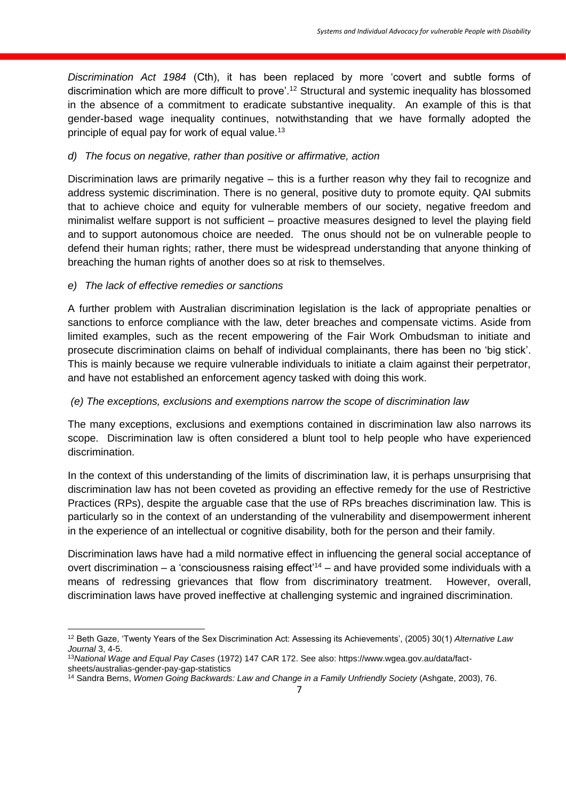*Discrimination Act 1984* (Cth), it has been replaced by more 'covert and subtle forms of discrimination which are more difficult to prove'.<sup>12</sup> Structural and systemic inequality has blossomed in the absence of a commitment to eradicate substantive inequality. An example of this is that gender-based wage inequality continues, notwithstanding that we have formally adopted the principle of equal pay for work of equal value.<sup>13</sup>

# *d) The focus on negative, rather than positive or affirmative, action*

Discrimination laws are primarily negative – this is a further reason why they fail to recognize and address systemic discrimination. There is no general, positive duty to promote equity. QAI submits that to achieve choice and equity for vulnerable members of our society, negative freedom and minimalist welfare support is not sufficient – proactive measures designed to level the playing field and to support autonomous choice are needed. The onus should not be on vulnerable people to defend their human rights; rather, there must be widespread understanding that anyone thinking of breaching the human rights of another does so at risk to themselves.

# *e) The lack of effective remedies or sanctions*

A further problem with Australian discrimination legislation is the lack of appropriate penalties or sanctions to enforce compliance with the law, deter breaches and compensate victims. Aside from limited examples, such as the recent empowering of the Fair Work Ombudsman to initiate and prosecute discrimination claims on behalf of individual complainants, there has been no 'big stick'. This is mainly because we require vulnerable individuals to initiate a claim against their perpetrator, and have not established an enforcement agency tasked with doing this work.

# *(e) The exceptions, exclusions and exemptions narrow the scope of discrimination law*

The many exceptions, exclusions and exemptions contained in discrimination law also narrows its scope. Discrimination law is often considered a blunt tool to help people who have experienced discrimination.

In the context of this understanding of the limits of discrimination law, it is perhaps unsurprising that discrimination law has not been coveted as providing an effective remedy for the use of Restrictive Practices (RPs), despite the arguable case that the use of RPs breaches discrimination law. This is particularly so in the context of an understanding of the vulnerability and disempowerment inherent in the experience of an intellectual or cognitive disability, both for the person and their family.

Discrimination laws have had a mild normative effect in influencing the general social acceptance of overt discrimination – a 'consciousness raising effect<sup> $14$ </sup> – and have provided some individuals with a means of redressing grievances that flow from discriminatory treatment. However, overall, discrimination laws have proved ineffective at challenging systemic and ingrained discrimination.

**<sup>.</sup>** <sup>12</sup> Beth Gaze, 'Twenty Years of the Sex Discrimination Act: Assessing its Achievements', (2005) 30(1) *Alternative Law Journal* 3, 4-5.

<sup>13</sup>*National Wage and Equal Pay Cases* (1972) 147 CAR 172. See also: https://www.wgea.gov.au/data/factsheets/australias-gender-pay-gap-statistics

<sup>14</sup> Sandra Berns, *Women Going Backwards: Law and Change in a Family Unfriendly Society* (Ashgate, 2003), 76.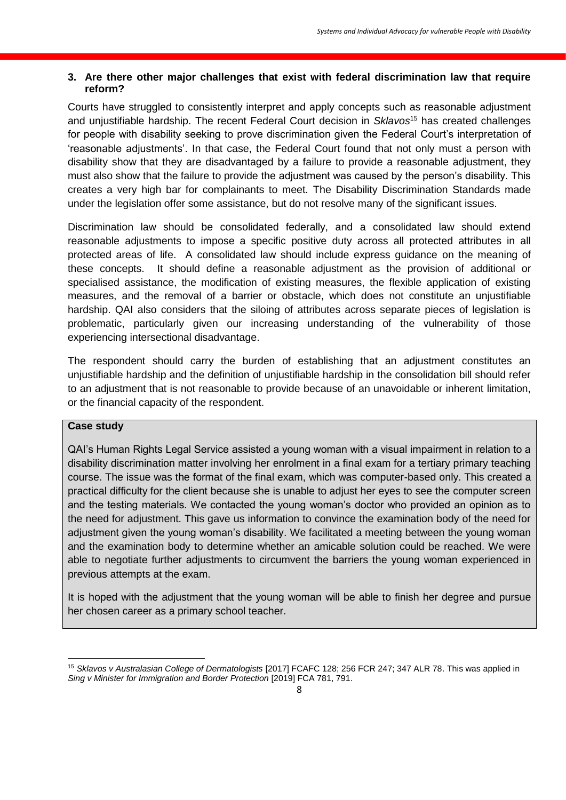# **3. Are there other major challenges that exist with federal discrimination law that require reform?**

Courts have struggled to consistently interpret and apply concepts such as reasonable adjustment and unjustifiable hardship. The recent Federal Court decision in *Sklavos*<sup>15</sup> has created challenges for people with disability seeking to prove discrimination given the Federal Court's interpretation of 'reasonable adjustments'. In that case, the Federal Court found that not only must a person with disability show that they are disadvantaged by a failure to provide a reasonable adjustment, they must also show that the failure to provide the adjustment was caused by the person's disability. This creates a very high bar for complainants to meet. The Disability Discrimination Standards made under the legislation offer some assistance, but do not resolve many of the significant issues.

Discrimination law should be consolidated federally, and a consolidated law should extend reasonable adjustments to impose a specific positive duty across all protected attributes in all protected areas of life. A consolidated law should include express guidance on the meaning of these concepts. It should define a reasonable adjustment as the provision of additional or specialised assistance, the modification of existing measures, the flexible application of existing measures, and the removal of a barrier or obstacle, which does not constitute an unjustifiable hardship. QAI also considers that the siloing of attributes across separate pieces of legislation is problematic, particularly given our increasing understanding of the vulnerability of those experiencing intersectional disadvantage.

The respondent should carry the burden of establishing that an adjustment constitutes an unjustifiable hardship and the definition of unjustifiable hardship in the consolidation bill should refer to an adjustment that is not reasonable to provide because of an unavoidable or inherent limitation, or the financial capacity of the respondent.

# **Case study**

QAI's Human Rights Legal Service assisted a young woman with a visual impairment in relation to a disability discrimination matter involving her enrolment in a final exam for a tertiary primary teaching course. The issue was the format of the final exam, which was computer-based only. This created a practical difficulty for the client because she is unable to adjust her eyes to see the computer screen and the testing materials. We contacted the young woman's doctor who provided an opinion as to the need for adjustment. This gave us information to convince the examination body of the need for adjustment given the young woman's disability. We facilitated a meeting between the young woman and the examination body to determine whether an amicable solution could be reached. We were able to negotiate further adjustments to circumvent the barriers the young woman experienced in previous attempts at the exam.

It is hoped with the adjustment that the young woman will be able to finish her degree and pursue her chosen career as a primary school teacher.

**<sup>.</sup>** <sup>15</sup> *Sklavos v Australasian College of Dermatologists* [2017] FCAFC 128; 256 FCR 247; 347 ALR 78. This was applied in *Sing v Minister for Immigration and Border Protection* [2019] FCA 781, 791.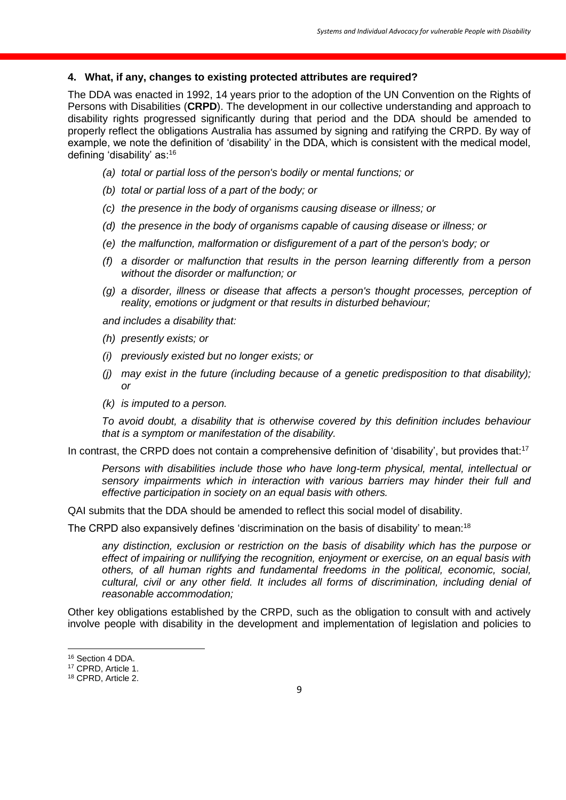#### **4. What, if any, changes to existing protected attributes are required?**

The DDA was enacted in 1992, 14 years prior to the adoption of the UN Convention on the Rights of Persons with Disabilities (CRPD). The development in our collective understanding and approach to disability rights progressed significantly during that period and the DDA should be amended to properly reflect the obligations Australia has assumed by signing and ratifying the CRPD. By way of example, we note the definition of 'disability' in the DDA, which is consistent with the medical model, defining 'disability' as:<sup>16</sup>

- *(a) total or partial loss of the person's bodily or mental functions; or*
- *(b) total or partial loss of a part of the body; or*
- *(c) the presence in the body of organisms causing disease or illness; or*
- *(d) the presence in the body of organisms capable of causing disease or illness; or*
- *(e) the malfunction, malformation or disfigurement of a part of the person's body; or*
- *(f) a disorder or malfunction that results in the person learning differently from a person without the disorder or malfunction; or*
- *(g) a disorder, illness or disease that affects a person's thought processes, perception of reality, emotions or judgment or that results in disturbed behaviour;*

*and includes a disability that:*

- *(h) presently exists; or*
- *(i) previously existed but no longer exists; or*
- *(j) may exist in the future (including because of a genetic predisposition to that disability); or*
- *(k) is imputed to a person.*

*To avoid doubt, a disability that is otherwise covered by this definition includes behaviour that is a symptom or manifestation of the disability.*

In contrast, the CRPD does not contain a comprehensive definition of 'disability', but provides that:<sup>17</sup>

*Persons with disabilities include those who have long-term physical, mental, intellectual or sensory impairments which in interaction with various barriers may hinder their full and effective participation in society on an equal basis with others.* 

QAI submits that the DDA should be amended to reflect this social model of disability.

The CRPD also expansively defines 'discrimination on the basis of disability' to mean:<sup>18</sup>

*any distinction, exclusion or restriction on the basis of disability which has the purpose or effect of impairing or nullifying the recognition, enjoyment or exercise, on an equal basis with others, of all human rights and fundamental freedoms in the political, economic, social, cultural, civil or any other field. It includes all forms of discrimination, including denial of reasonable accommodation;*

Other key obligations established by the CRPD, such as the obligation to consult with and actively involve people with disability in the development and implementation of legislation and policies to

**.** 

<sup>16</sup> Section 4 DDA.

<sup>17</sup> CPRD, Article 1.

<sup>18</sup> CPRD, Article 2.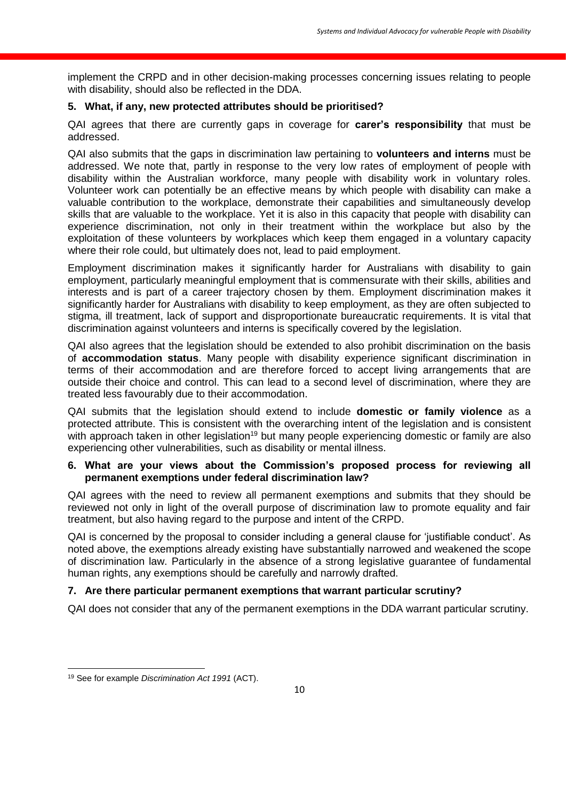implement the CRPD and in other decision-making processes concerning issues relating to people with disability, should also be reflected in the DDA.

### **5. What, if any, new protected attributes should be prioritised?**

QAI agrees that there are currently gaps in coverage for **carer's responsibility** that must be addressed.

QAI also submits that the gaps in discrimination law pertaining to **volunteers and interns** must be addressed. We note that, partly in response to the very low rates of employment of people with disability within the Australian workforce, many people with disability work in voluntary roles. Volunteer work can potentially be an effective means by which people with disability can make a valuable contribution to the workplace, demonstrate their capabilities and simultaneously develop skills that are valuable to the workplace. Yet it is also in this capacity that people with disability can experience discrimination, not only in their treatment within the workplace but also by the exploitation of these volunteers by workplaces which keep them engaged in a voluntary capacity where their role could, but ultimately does not, lead to paid employment.

Employment discrimination makes it significantly harder for Australians with disability to gain employment, particularly meaningful employment that is commensurate with their skills, abilities and interests and is part of a career trajectory chosen by them. Employment discrimination makes it significantly harder for Australians with disability to keep employment, as they are often subjected to stigma, ill treatment, lack of support and disproportionate bureaucratic requirements. It is vital that discrimination against volunteers and interns is specifically covered by the legislation.

QAI also agrees that the legislation should be extended to also prohibit discrimination on the basis of **accommodation status**. Many people with disability experience significant discrimination in terms of their accommodation and are therefore forced to accept living arrangements that are outside their choice and control. This can lead to a second level of discrimination, where they are treated less favourably due to their accommodation.

QAI submits that the legislation should extend to include **domestic or family violence** as a protected attribute. This is consistent with the overarching intent of the legislation and is consistent with approach taken in other legislation<sup>19</sup> but many people experiencing domestic or family are also experiencing other vulnerabilities, such as disability or mental illness.

#### **6. What are your views about the Commission's proposed process for reviewing all permanent exemptions under federal discrimination law?**

QAI agrees with the need to review all permanent exemptions and submits that they should be reviewed not only in light of the overall purpose of discrimination law to promote equality and fair treatment, but also having regard to the purpose and intent of the CRPD.

QAI is concerned by the proposal to consider including a general clause for 'justifiable conduct'. As noted above, the exemptions already existing have substantially narrowed and weakened the scope of discrimination law. Particularly in the absence of a strong legislative guarantee of fundamental human rights, any exemptions should be carefully and narrowly drafted.

# **7. Are there particular permanent exemptions that warrant particular scrutiny?**

QAI does not consider that any of the permanent exemptions in the DDA warrant particular scrutiny.

 $\overline{a}$ 

<sup>19</sup> See for example *Discrimination Act 1991* (ACT).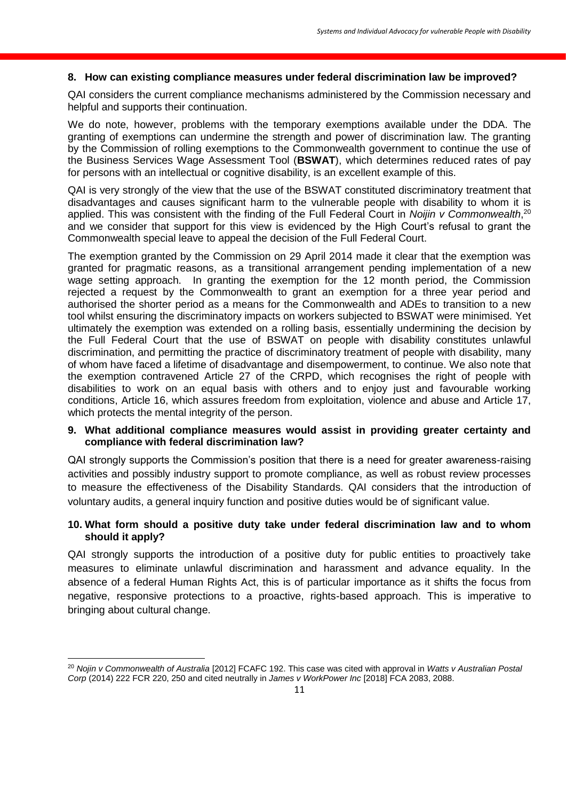#### **8. How can existing compliance measures under federal discrimination law be improved?**

QAI considers the current compliance mechanisms administered by the Commission necessary and helpful and supports their continuation.

We do note, however, problems with the temporary exemptions available under the DDA. The granting of exemptions can undermine the strength and power of discrimination law. The granting by the Commission of rolling exemptions to the Commonwealth government to continue the use of the Business Services Wage Assessment Tool (**BSWAT**), which determines reduced rates of pay for persons with an intellectual or cognitive disability, is an excellent example of this.

QAI is very strongly of the view that the use of the BSWAT constituted discriminatory treatment that disadvantages and causes significant harm to the vulnerable people with disability to whom it is applied. This was consistent with the finding of the Full Federal Court in *Noijin v Commonwealth*,<sup>20</sup> and we consider that support for this view is evidenced by the High Court's refusal to grant the Commonwealth special leave to appeal the decision of the Full Federal Court.

The exemption granted by the Commission on 29 April 2014 made it clear that the exemption was granted for pragmatic reasons, as a transitional arrangement pending implementation of a new wage setting approach. In granting the exemption for the 12 month period, the Commission rejected a request by the Commonwealth to grant an exemption for a three year period and authorised the shorter period as a means for the Commonwealth and ADEs to transition to a new tool whilst ensuring the discriminatory impacts on workers subjected to BSWAT were minimised. Yet ultimately the exemption was extended on a rolling basis, essentially undermining the decision by the Full Federal Court that the use of BSWAT on people with disability constitutes unlawful discrimination, and permitting the practice of discriminatory treatment of people with disability, many of whom have faced a lifetime of disadvantage and disempowerment, to continue. We also note that the exemption contravened Article 27 of the CRPD, which recognises the right of people with disabilities to work on an equal basis with others and to enjoy just and favourable working conditions, Article 16, which assures freedom from exploitation, violence and abuse and Article 17, which protects the mental integrity of the person.

#### **9. What additional compliance measures would assist in providing greater certainty and compliance with federal discrimination law?**

QAI strongly supports the Commission's position that there is a need for greater awareness-raising activities and possibly industry support to promote compliance, as well as robust review processes to measure the effectiveness of the Disability Standards. QAI considers that the introduction of voluntary audits, a general inquiry function and positive duties would be of significant value.

### **10. What form should a positive duty take under federal discrimination law and to whom should it apply?**

QAI strongly supports the introduction of a positive duty for public entities to proactively take measures to eliminate unlawful discrimination and harassment and advance equality. In the absence of a federal Human Rights Act, this is of particular importance as it shifts the focus from negative, responsive protections to a proactive, rights-based approach. This is imperative to bringing about cultural change.

**.** 

<sup>20</sup> *Nojin v Commonwealth of Australia* [2012] FCAFC 192. This case was cited with approval in *Watts v Australian Postal Corp* (2014) 222 FCR 220, 250 and cited neutrally in *James v WorkPower Inc* [2018] FCA 2083, 2088.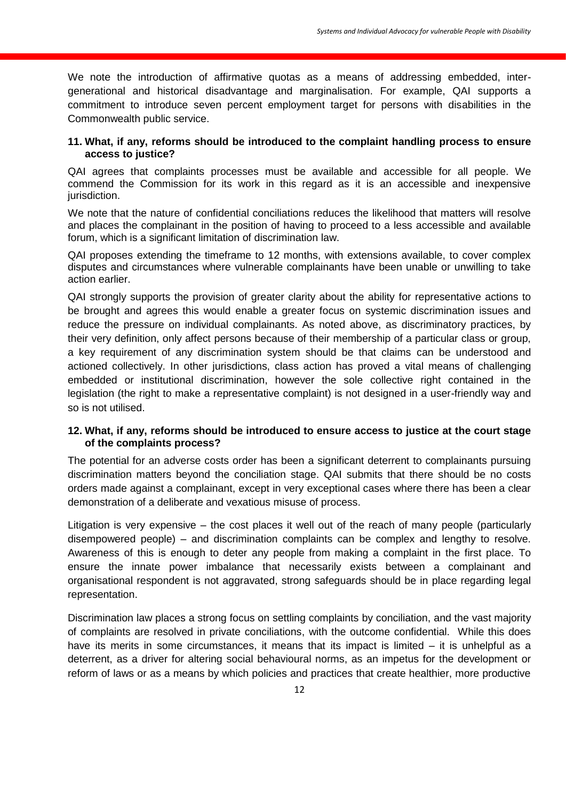We note the introduction of affirmative quotas as a means of addressing embedded, intergenerational and historical disadvantage and marginalisation. For example, QAI supports a commitment to introduce seven percent employment target for persons with disabilities in the Commonwealth public service.

### **11. What, if any, reforms should be introduced to the complaint handling process to ensure access to justice?**

QAI agrees that complaints processes must be available and accessible for all people. We commend the Commission for its work in this regard as it is an accessible and inexpensive jurisdiction.

We note that the nature of confidential conciliations reduces the likelihood that matters will resolve and places the complainant in the position of having to proceed to a less accessible and available forum, which is a significant limitation of discrimination law.

QAI proposes extending the timeframe to 12 months, with extensions available, to cover complex disputes and circumstances where vulnerable complainants have been unable or unwilling to take action earlier.

QAI strongly supports the provision of greater clarity about the ability for representative actions to be brought and agrees this would enable a greater focus on systemic discrimination issues and reduce the pressure on individual complainants. As noted above, as discriminatory practices, by their very definition, only affect persons because of their membership of a particular class or group, a key requirement of any discrimination system should be that claims can be understood and actioned collectively. In other jurisdictions, class action has proved a vital means of challenging embedded or institutional discrimination, however the sole collective right contained in the legislation (the right to make a representative complaint) is not designed in a user-friendly way and so is not utilised.

### **12. What, if any, reforms should be introduced to ensure access to justice at the court stage of the complaints process?**

The potential for an adverse costs order has been a significant deterrent to complainants pursuing discrimination matters beyond the conciliation stage. QAI submits that there should be no costs orders made against a complainant, except in very exceptional cases where there has been a clear demonstration of a deliberate and vexatious misuse of process.

Litigation is very expensive – the cost places it well out of the reach of many people (particularly disempowered people) – and discrimination complaints can be complex and lengthy to resolve. Awareness of this is enough to deter any people from making a complaint in the first place. To ensure the innate power imbalance that necessarily exists between a complainant and organisational respondent is not aggravated, strong safeguards should be in place regarding legal representation.

Discrimination law places a strong focus on settling complaints by conciliation, and the vast majority of complaints are resolved in private conciliations, with the outcome confidential. While this does have its merits in some circumstances, it means that its impact is limited – it is unhelpful as a deterrent, as a driver for altering social behavioural norms, as an impetus for the development or reform of laws or as a means by which policies and practices that create healthier, more productive